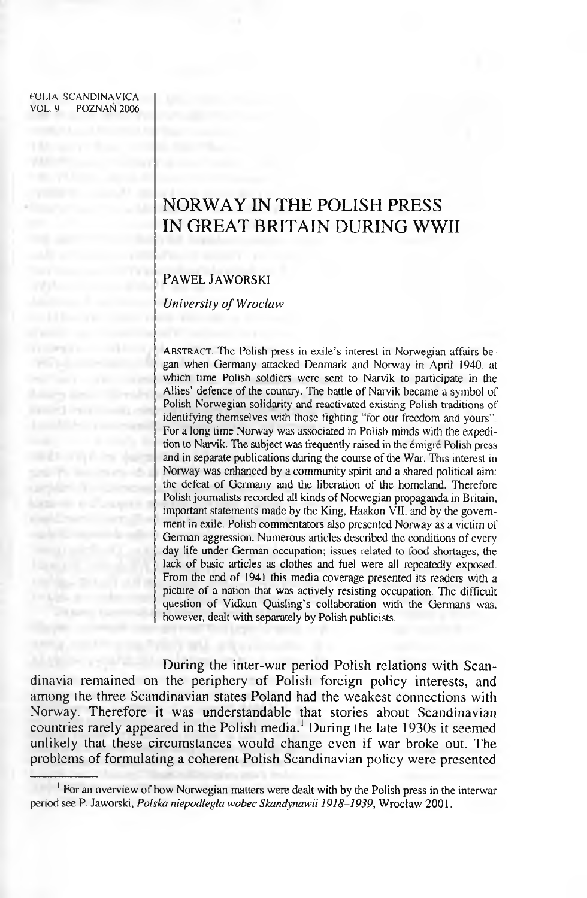FOLIA SCANDINAVICA VOL. 9 POZNAN 2006

# **NORWAY IN THE POLISH PRESS IN GREAT BRITAIN DURING WWII**

## **P a w e ł J a w o r s k i**

*University of Wrocław* 

ABSTRACT. The Polish press in exile's interest in Norwegian affairs be**gan when Germany attacked Denmark and Norway in April 1940, at which time Polish soldiers were sent to Narvik to participate in the Allies' defence of the country. The battle of Narvik became a symbol of Polish-Norwegian solidarity and reactivated existing Polish traditions of identifying themselves with those fighting "for our freedom and yours" For a long time Norway was associated in Polish minds with the expedition to Narvik. The subject was frequently raised in the emigre Polish press** and in separate publications during the course of the War. This interest in **Norway was enhanced by a community spirit and a shared political aim:** the defeat of Germany and the liberation of the homeland. Therefore Polish journalists recorded all kinds of Norwegian propaganda in Britain, **important statements made by the King, Haakon VII, and by the government in exile. Polish commentators also presented Norway as a victim of** German aggression. Numerous articles described the conditions of every **day life under German occupation; issues related to food shortages, the** lack of basic articles as clothes and fuel were all repeatedly exposed. **From the end of 1941 this media coverage presented its readers with a** picture of a nation that was actively resisting occupation. The difficult question of Vidkun Quisling's collaboration with the Germans was, **however, dealt with separately by Polish publicists.**

During the inter-war period Polish relations with Scandinavia remained on the periphery of Polish foreign policy interests, and among the three Scandinavian states Poland had the weakest connections with Norway. Therefore it was understandable that stories about Scandinavian countries rarely appeared in the Polish media.1 During the late 1930s it seemed unlikely that these circumstances would change even if war broke out. The problems of formulating a coherent Polish Scandinavian policy were presented

<sup>&</sup>lt;sup>1</sup> For an overview of how Norwegian matters were dealt with by the Polish press in the interwar **period see P. Jaworski,** *Polska niepodległa wobec Skandynawii 1918-1939,* **Wroclaw 2001.**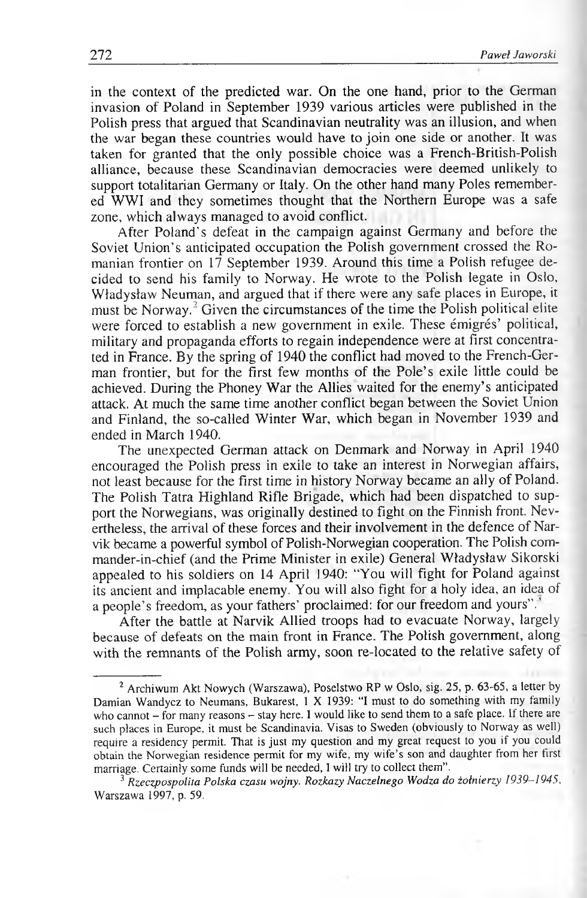in the context of the predicted war. On the one hand, prior to the German invasion of Poland in September 1939 various articles were published in the Polish press that argued that Scandinavian neutrality was an illusion, and when the war began these countries would have to join one side or another. It was taken for granted that the only possible choice was a French-British-Polish alliance, because these Scandinavian democracies were deemed unlikely to support totalitarian Germany or Italy. On the other hand many Poles remembered WWI and they sometimes thought that the Northern Europe was a safe zone, which always managed to avoid conflict.

After Poland's defeat in the campaign against Germany and before the Soviet Union's anticipated occupation the Polish government crossed the Romanian frontier on 17 September 1939. Around this time a Polish refugee decided to send his family to Norway. He wrote to the Polish legate in Oslo, Władysław Neuman, and argued that if there were any safe places in Europe, it must be Norway.2 Given the circumstances of the time the Polish political elite were forced to establish a new government in exile. These émigrés' political, military and propaganda efforts to regain independence were at first concentrated in France. By the spring of 1940 the conflict had moved to the French-German frontier, but for the first few months of the Pole's exile little could be achieved. During the Phoney War the Allies waited for the enemy's anticipated attack. At much the same time another conflict began between the Soviet Union and Finland, the so-called Winter War, which began in November 1939 and ended in March 1940.

The unexpected German attack on Denmark and Norway in April 1940 encouraged the Polish press in exile to take an interest in Norwegian affairs, not least because for the first time in history Norway became an ally of Poland. The Polish Tatra Highland Rifle Brigade, which had been dispatched to support the Norwegians, was originally destined to fight on the Finnish front. Nevertheless, the arrival of these forces and their involvement in the defence of Narvik became a powerful symbol of Polish-Norwegian cooperation. The Polish commander-in-chief (and the Prime Minister in exile) General Władysław Sikorski appealed to his soldiers on 14 April 1940: "You will fight for Poland against its ancient and implacable enemy. You will also fight for a holy idea, an idea of a people's freedom, as your fathers' proclaimed: for our freedom and yours". '

After the battle at Narvik Allied troops had to evacuate Norway, largely because of defeats on the main front in France. The Polish government, along with the remnants of the Polish army, soon re-located to the relative safety of

<sup>&</sup>lt;sup>2</sup> Archiwum Akt Nowych (Warszawa), Poselstwo RP w Oslo, sig. 25, p. 63-65, a letter by **Damian Wandycz to Neumans, Bukarest, 1 X 1939: "I must to do something with my family** who cannot - for many reasons - stay here. I would like to send them to a safe place. If there are **such places in Europe, it must be Scandinavia. Visas to Sweden (obviously to Norway as well) require a residency permit. That is just my question and my great request to you if you could obtain the Norwegian residence permit for my wife, my w ife's son and daughter from her first** marriage. Certainly some funds will be needed, I will try to collect them".

**<sup>3</sup>** *Rzeczpospolita Polska czasu wojny. Rozkazy Naczelnego Wodza do żołnierzy 1939-1945,* **Warszawa 1997, p. 59.**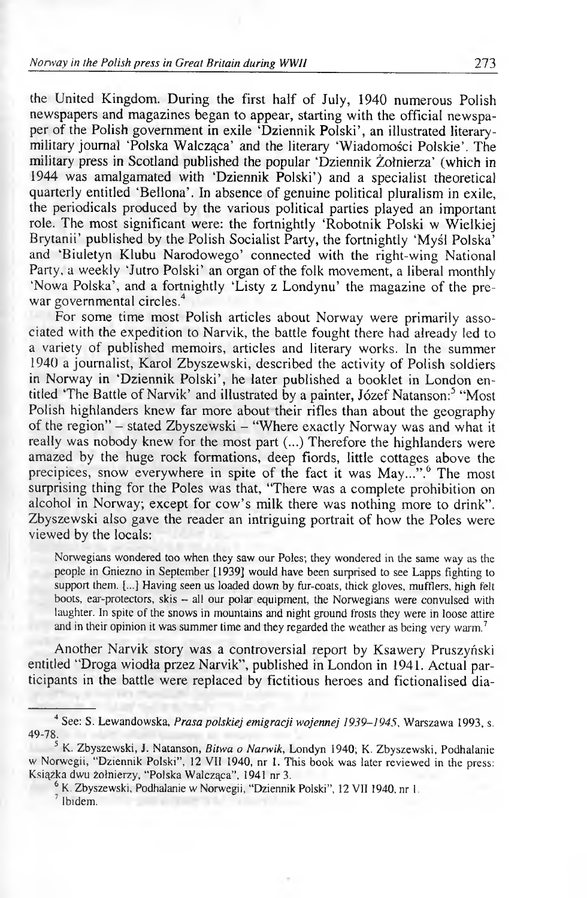#### *Norway in the Polish press in Great Britain during WWII* **273**

the United Kingdom. During the first half of July, 1940 numerous Polish newspapers and magazines began to appear, starting with the official newspaper of the Polish government in exile 'Dziennik Polski', an illustrated literarymilitary journal 'Polska Walcząca' and the literary 'Wiadomości Polskie'. The military press in Scotland published the popular 'Dziennik Żołnierza' (which in 1944 was amalgamated with 'Dziennik Polski') and a specialist theoretical quarterly entitled 'Bellona'. In absence of genuine political pluralism in exile, the periodicals produced by the various political parties played an important role. The most significant were: the fortnightly 'Robotnik Polski w Wielkiej Brytanii' published by the Polish Socialist Party, the fortnightly 'Myśl Polska<sup>'</sup> and 'Biuletyn Klubu Narodowego' connected with the right-wing National Party, a weekly 'Jutro Polski' an organ of the folk movement, a liberal monthly 'Nowa Polska', and a fortnightly 'Listy z Londynu' the magazine of the prewar governmental circles.<sup>4</sup>

For some time most Polish articles about Norway were primarily associated with the expedition to Narvik, the battle fought there had already led to a variety of published memoirs, articles and literary works. In the summer 1940 a journalist, Karol Zbyszewski, described the activity of Polish soldiers in Norway in 'Dziennik Polski', he later published a booklet in London entitled 'The Battle of Narvik' and illustrated by a painter, Józef Natanson:<sup>5</sup> "Most Polish highlanders knew far more about their rifles than about the geography of the region" - stated Zbyszewski - "Where exactly Norway was and what it really was nobody knew for the most part (...) Therefore the highlanders were amazed by the huge rock formations, deep fiords, little cottages above the precipices, snow everywhere in spite of the fact it was May...".<sup>6</sup> The most surprising thing for the Poles was that, "There was a complete prohibition on alcohol in Norway; except for cow's milk there was nothing more to drink". Zbyszewski also gave the reader an intriguing portrait of how the Poles were viewed by the locals:

**Norwegians wondered too when they saw our Poles; they wondered in the same way as the people in Gniezno in September [1939] would have been surprised to see Lapps fighting to support them. [...] Having seen us loaded down by fur-coats, thick gloves, mufflers, high felt boots, ear-protectors, skis - all our polar equipment, the Norwegians were convulsed with laughter. In spite of the snows in mountains and night ground frosts they were in loose attire and in their opinion it was summer time and they regarded the weather as being very warm.7**

Another Narvik story was a controversial report by Ksawery Pruszyński entitled "Droga wiodła przez Narvik", published in London in 1941. Actual participants in the battle were replaced by fictitious heroes and fictionalised dia-

**<sup>4</sup> See: S. Lewandowska,** *Prasa polskiej em igracji wojennej 1939-1945,* **Warszawa 1993, s. 49-78.**

**<sup>5</sup> K. Zbyszewski, J. Natanson,** *Bitwa o Narwik,* **Londyn 1940; K. Zbyszewski, Podhalanie w Norwegii, "Dziennik Polski", 12 VII 1940, nr 1. This book was later reviewed in the press: Książka dwu żołnierzy, "Polska W alcząca", 1941 nr 3.**

**<sup>6</sup> K. Zbyszewski, Podhalanie w Norwegii, "Dziennik Polski", 12 V I I 1940, nr 1.**

**<sup>7</sup> Ibidem.**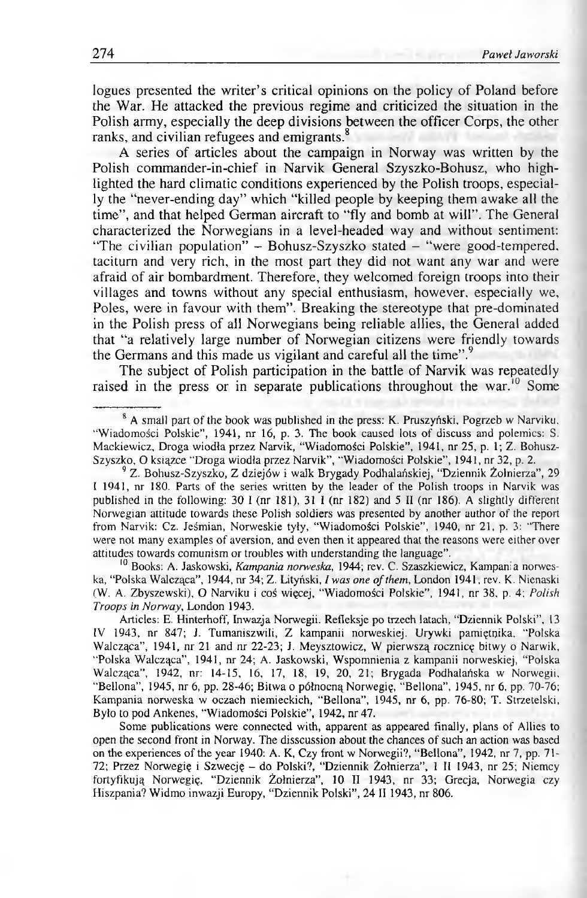logues presented the writer's critical opinions on the policy of Poland before the War. He attacked the previous regime and criticized the situation in the Polish army, especially the deep divisions between the officer Corps, the other ranks, and civilian refugees and emigrants.<sup>8</sup>

A series of articles about the campaign in Norway was written by the Polish commander-in-chief in Narvik General Szyszko-Bohusz, who highlighted the hard climatic conditions experienced by the Polish troops, especially the "never-ending day" which "killed people by keeping them awake all the time", and that helped German aircraft to "fly and bomb at will". The General characterized the Norwegians in a level-headed way and without sentiment: "The civilian population" - Bohusz-Szyszko stated - "were good-tempered, taciturn and very rich, in the most part they did not want any war and were afraid of air bombardment. Therefore, they welcomed foreign troops into their villages and towns without any special enthusiasm, however, especially we, Poles, were in favour with them". Breaking the stereotype that pre-dominated in the Polish press of all Norwegians being reliable allies, the General added that "a relatively large number of Norwegian citizens were friendly towards the Germans and this made us vigilant and careful all the time".<sup>9</sup>

The subject of Polish participation in the battle of Narvik was repeatedly raised in the press or in separate publications throughout the war.<sup>10</sup> Some

**10 Books; A. Jaskowski,** *Kampania norweska,* **1944; rev. C. Szaszkiewicz, Kampania norwes**ka, "Polska Walcząca", 1944, nr 34; Z. Lityński, *I was one of them*, London 1941, rev. K. Nienaski **(W. A. Zbyszewski), O Narviku i coś więcej, "W iadomości Polskie", 1941, nr 38, p. 4;** *Polish Troops in Norway*, London 1943.

**Articles: E. Hinterhoff, Inwazja Norwegii. Refleksje po trzech latach, "Dziennik Polski", 13 IV 1943, nr 847; J. Tumaniszwili, Z kampanii norweskiej. Urywki pamiętnika, "Polska** Walcząca", 1941, nr 21 and nr 22-23; J. Meysztowicz, W pierwszą rocznicę bitwy o Narwik, **"Polska W alcząca", 1941, nr 24; A. Jaskowski, W spomnienia z kampanii norweskiej, "Polska W alcząca", 1942, nr: 14-15, 16, 17, 18, 19, 20, 21; Brygada Podhalańska w Norwegii, "Bellona", 1945, nr 6, pp. 28-46; Bitwa o północną Norwegię, "Bellona", 1945, nr 6, pp. 70-76; Kampania norweska w oczach niemieckich, "Bellona", 1945, nr 6, pp. 76-80; T. Strzetelski, Było to pod Ankenes, "W iadomości Polskie", 1942, nr 47.**

Some publications were connected with, apparent as appeared finally, plans of Allies to open the second front in Norway. The disscussion about the chances of such an action was based on the experiences of the year 1940: A. K, Czy front w Norwegii?, "Bellona", 1942, nr 7, pp. 71-**72; Przez Norwegię i Szwecję - do Polski?, "Dziennik Żołnierza", 1 II 1943, nr 25; Niemcy fortyfikują Norwegię, "Dziennik Żołnierza", 10 II 1943, nr 33; Grecja, Norwegia czy Hiszpania? W idmo inwazji Europy, "Dziennik Polski", 24 II 1943, nr 806.**

<sup>&</sup>lt;sup>8</sup> A small part of the book was published in the press: K. Pruszyński, Pogrzeb w Narviku, "Wiadomości Polskie", 1941, nr 16, p. 3. The book caused lots of discuss and polemics: S. Mackiewicz, Droga wiodła przez Narvik, "Wiadomości Polskie", 1941, nr 25, p. 1; Z. Bohusz-**Szyszko, O książce "Droga wiodła przez Narvik", "W iadomości Polskie", 1941, nr 32, p. 2.**

**<sup>9</sup> Z. Bohusz-Szyszko, Z dziejów i walk Brygady Podhalańskiej, "Dziennik Żołnierza", 29** I 1941, nr 180. Parts of the series written by the leader of the Polish troops in Narvik was **published in the following: 30 I (nr 181), 31 I (nr 182) and 5 11 (nr 186). A slightly different Norwegian attitude towards these Polish soldiers was presented by another author of the report from Narvik: Cz. Jeśmian, Norweskie tyły, "Wiadomości Polskie", 1940, nr 21, p. 3: "There** were not many examples of aversion, and even then it appeared that the reasons were either over **attitudes towards comunism or troubles with understanding the language".**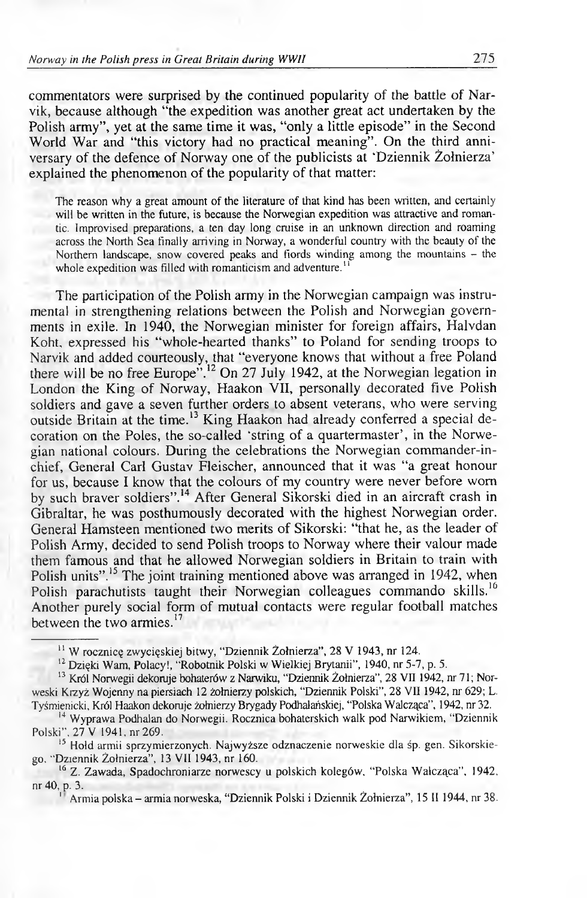commentators were surprised by the continued popularity of the battle of Narvik, because although "the expedition was another great act undertaken by the Polish army", yet at the same time it was, "only a little episode" in the Second World War and "this victory had no practical meaning". On the third anniversary of the defence of Norway one of the publicists at 'Dziennik Żołnierza' explained the phenomenon of the popularity of that matter:

**The reason why a great amount of the literature of that kind has been written, and certainly will be written in the future, is because the Norwegian expedition was attractive and romantic. Improvised preparations, a ten day long cruise in an unknown direction and roaming across the North Sea finally arriving in Norway, a wonderful country with the beauty of the Northern landscape, snow covered peaks and fiords winding among the mountains - the whole expedition was filled with romanticism and adventure.'1**

The participation of the Polish army in the Norwegian campaign was instrumental in strengthening relations between the Polish and Norwegian governments in exile. In 1940, the Norwegian minister for foreign affairs, Halvdan Koht, expressed his "whole-hearted thanks" to Poland for sending troops to Narvik and added courteously, that "everyone knows that without a free Poland there will be no free Europe".<sup>12</sup> On 27 July 1942, at the Norwegian legation in London the King of Norway, Haakon VII, personally decorated five Polish soldiers and gave a seven further orders to absent veterans, who were serving outside Britain at the time.<sup>13</sup> King Haakon had already conferred a special decoration on the Poles, the so-called 'string of a quartermaster', in the Norwegian national colours. During the celebrations the Norwegian commander-inchief, General Carl Gustav Fleischer, announced that it was "a great honour for us, because I know that the colours of my country were never before worn by such braver soldiers".<sup>14</sup> After General Sikorski died in an aircraft crash in Gibraltar, he was posthumously decorated with the highest Norwegian order. General Hamsteen mentioned two merits of Sikorski: "that he, as the leader of Polish Army, decided to send Polish troops to Norway where their valour made them famous and that he allowed Norwegian soldiers in Britain to train with Polish units".<sup>15</sup> The joint training mentioned above was arranged in 1942, when Polish parachutists taught their Norwegian colleagues commando skills.<sup>16</sup> Another purely social form of mutual contacts were regular football matches between the two armies.<sup>17</sup>

**15 Hołd armii sprzymierzonych. Najwyższe odznaczenie norweskie dla śp. gen. Sikorskiego, "Dziennik Żołnierza", 13 VII 1943, nr 160.**

<sup>16</sup> Z. Zawada, Spadochroniarze norwescy u polskich kolegów, "Polska Walcząca", 1942, **nr 40, p. 3.**

**' Armia polska - armia norweska, "Dziennik Polski i Dziennik Żołnierza", 15 II 1944, nr 38.**

**<sup>11</sup> W rocznicę zwycięskiej bitwy, "Dziennik Żołnierza", 28 V 1943, nr 124.**

**<sup>12</sup> Dzięki Wam, Polacy!, "Robotnik Polski w Wielkiej Brytanii", 1940, nr 5-7, p. 5.**

**<sup>13</sup> Król Norwegii dekoruje bohaterów z Narwiku, "Dziennik Żołnierza", 28 VII 1942, nr 71; Norweski Krzyż Wojenny na piersiach 12 żołnierzy polskich, "Dziennik Polski", 28 VII 1942, nr 629; L. Tyśmienicki, Król Haakon dekoruje żołnierzy Brygady Podhalańskiej, "Polska Walcząca", 1942, nr 32.**

**<sup>14</sup> Wyprawa Podhalan do Norwegii. Rocznica bohaterskich walk pod Narwikiem, "Dziennik Polski", 27 V 1941, nr 269.**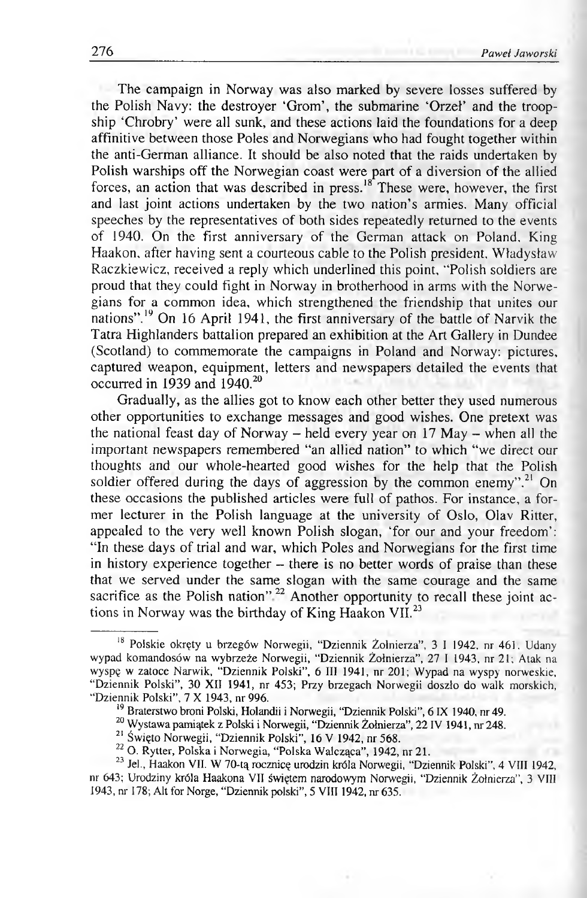The campaign in Norway was also marked by severe losses suffered by the Polish Navy: the destroyer 'Grom', the submarine 'Orzeł' and the troopship 'Chrobry' were all sunk, and these actions laid the foundations for a deep affinitive between those Poles and Norwegians who had fought together within the anti-German alliance. It should be also noted that the raids undertaken by Polish warships off the Norwegian coast were part of a diversion of the allied forces, an action that was described in press.18 These were, however, the first and last joint actions undertaken by the two nation's armies. Many official speeches by the representatives of both sides repeatedly returned to the events of 1940. On the first anniversary of the German attack on Poland, King Haakon, after having sent a courteous cable to the Polish president, Władysław Raczkiewicz, received a reply which underlined this point, "Polish soldiers are proud that they could fight in Norway in brotherhood in arms with the Norwegians for a common idea, which strengthened the friendship that unites our nations".19 On 16 April 1941, the first anniversary of the battle of Narvik the Tatra Highlanders battalion prepared an exhibition at the Art Gallery in Dundee (Scotland) to commemorate the campaigns in Poland and Norway: pictures, captured weapon, equipment, letters and newspapers detailed the events that occurred in 1939 and 1940.<sup>20</sup>

Gradually, as the allies got to know each other better they used numerous other opportunities to exchange messages and good wishes. One pretext was the national feast day of Norway – held every year on  $17$  May – when all the important newspapers remembered "an allied nation" to which "we direct our thoughts and our whole-hearted good wishes for the help that the Polish soldier offered during the days of aggression by the common enemy".<sup>21</sup> On these occasions the published articles were full of pathos. For instance, a former lecturer in the Polish language at the university of Oslo, Olav Ritter, appealed to the very well known Polish slogan, 'for our and your freedom': "In these days of trial and war, which Poles and Norwegians for the first time in history experience together - there is no better words of praise than these that we served under the same slogan with the same courage and the same sacrifice as the Polish nation"<sup>22</sup> Another opportunity to recall these joint actions in Norway was the birthday of King Haakon VII.<sup>23</sup>

<sup>18</sup> **Polskie okręty u brzegów Norwegii, "Dziennik Żołnierza", 3 I 1942, nr 461, Udany wypad komandosów na wybrzeże Norwegii, "Dziennik Żołnierza", 27 I 1943, nr 21; Atak na** wyspę w zatoce Narwik, "Dziennik Polski", 6 III 1941, nr 201; Wypad na wyspy norweskie, **"Dziennik Polski", 30 XII 1941, nr 453; Przy brzegach Norwegii doszło do walk morskich, "Dziennik Polski", 7 X 1943, nr 996.**

<sup>19</sup> **Braterstwo broni Polski, Holandii i Norwegii, "Dziennik Polski",** 6 **IX 1940, nr 49.**

<sup>&</sup>lt;sup>20</sup> Wystawa pamiątek z Polski i Norwegii, "Dziennik Żołnierza", 22 IV 1941, nr 248.

<sup>21</sup> **Święto Norwegii, "Dziennik Polski", 16 V 1942, nr 568.**

<sup>22</sup> **O. Rytter, Polska i Norwegia, "Polska Walcząca", 1942, nr 21.**

<sup>&</sup>lt;sup>23</sup> Jel., Haakon VII. W 70-tą rocznicę urodzin króla Norwegii, "Dziennik Polski", 4 VIII 1942, **nr 643; Urodziny króla Haakona VII świętem narodowym Norwegii, "Dziennik Żołnierza", 3 VIII 1943, nr 178; Alt for Norge, "Dziennik polski", 5 VIII 1942, nr 635.**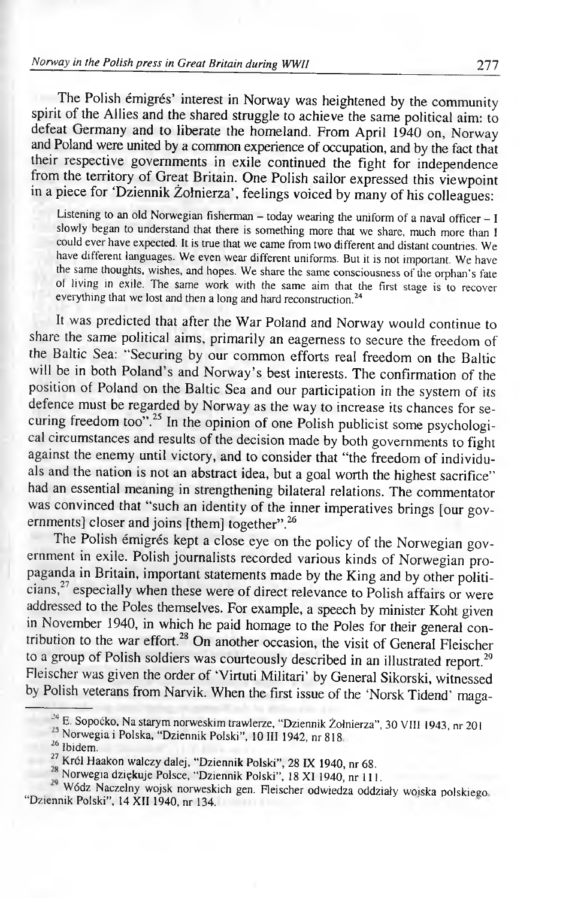## *Norway in the Polish press in Great Britain during WWI1* **277**

The Polish émigrés' interest in Norway was heightened by the community spirit of the Allies and the shared struggle to achieve the same political aim: to defeat Germany and to liberate the homeland. From April 1940 on, Norway and Poland were united by a common experience of occupation, and by the fact that their respective governments in exile continued the fight for independence from the territory of Great Britain. One Polish sailor expressed this viewpoint in a piece for 'Dziennik Żołnierza', feelings voiced by many of his colleagues:

Listening to an old Norwegian fisherman – today wearing the uniform of a naval officer – I **slowly began to understand that there is something more that we share, much more than I could ever have expected. It is true that we came from two different and distant countries. We have different languages. We even wear different uniforms. But it is not important. We have the same thoughts, wishes, and hopes. We share the same consciousness of the orphan's fate ot living in exile. The same work with the same aim that the first stage is to recover everything that we lost and then a long and hard reconstruction**.24

It was predicted that after the War Poland and Norway would continue to share the same political aims, primarily an eagerness to secure the freedom of the Baltic Sea: "Securing by our common efforts real freedom on the Baltic will be in both Poland's and Norway's best interests. The confirmation of the position of Poland on the Baltic Sea and our participation in the system of its defence must be regarded by Norway as the way to increase its chances for securing freedom too".<sup>25</sup> In the opinion of one Polish publicist some psychological circumstances and results of the decision made by both governments to fight against the enemy until victory, and to consider that "the freedom of individuals and the nation is not an abstract idea, but a goal worth the highest sacrifice" had an essential meaning in strengthening bilateral relations. The commentator was convinced that "such an identity of the inner imperatives brings [our governments] closer and joins [them] together".<sup>26</sup>

The Polish émigrés kept a close eye on the policy of the Norwegian government in exile. Polish journalists recorded various kinds of Norwegian propaganda in Britain, important statements made by the King and by other politicians,27 especially when these were of direct relevance to Polish affairs or were addressed to the Poles themselves. For example, a speech by minister Koht given in November 1940, in which he paid homage to the Poles for their general contribution to the war effort.<sup>28</sup> On another occasion, the visit of General Fleischer to a group of Polish soldiers was courteously described in an illustrated report.<sup>29</sup> Fleischer was given the order of 'Virtuti Militari' by General Sikorski, witnessed by Polish veterans from Narvik. When the first issue of the 'Norsk Tidend' maga-

**<sup>^</sup> E. Sopoćko, Na starym norweskim trawlerze, "Dziennik Żołnierza", 30 VIII 1943, nr 201**

**Norwegia i Polska, "Dziennik Polski", 10 III 1942, nr 818**

<sup>26</sup> **Ibidem.**

<sup>&</sup>lt;sup>27</sup> Król Haakon walczy dalej, "Dziennik Polski", 28 IX 1940, nr 68.

**<sup>®</sup> Norwegia dziękuje Polsce, "Dziennik Polski", 18 XI 1940, nr 111.**

**Wódz Naczelny wojsk norweskich gen. Fleischer odwiedza oddziały woiska polskiego "Dziennik Polski", 14 XII 1940, nr 134.**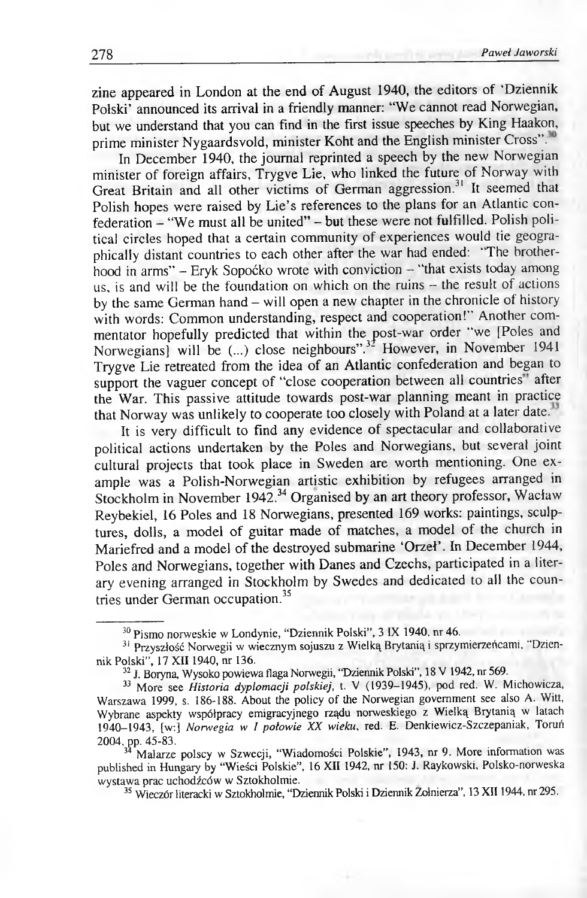zine appeared in London at the end of August 1940, the editors of 'Dziennik Polski' announced its arrival in a friendly manner: "We cannot read Norwegian, but we understand that you can find in the first issue speeches by King Haakon, prime minister Nygaardsvold, minister Koht and the English minister Cross".<sup>0</sup>

In December 1940, the journal reprinted a speech by the new Norwegian minister of foreign affairs, Trygve Lie, who linked the future of Norway with Great Britain and all other victims of German aggression.<sup>31</sup> It seemed that Polish hopes were raised by Lie's references to the plans for an Atlantic confederation - "We must all be united" - but these were not fulfilled. Polish political circles hoped that a certain community of experiences would tie geographically distant countries to each other after the war had ended: "The brotherhood in arms" - Eryk Sopoćko wrote with conviction - "that exists today among us, is and will be the foundation on which on the ruins - the result of actions by the same German hand – will open a new chapter in the chronicle of history with words: Common understanding, respect and cooperation!" Another commentator hopefully predicted that within the post-war order "we [Poles and Norwegians] will be  $(\dots)$  close neighbours".<sup>32</sup> However, in November 1941 Trygve Lie retreated from the idea of an Atlantic confederation and began to support the vaguer concept of "close cooperation between all countries" after the War. This passive attitude towards post-war planning meant in practice that Norway was unlikely to cooperate too closely with Poland at a later date.

It is very difficult to find any evidence of spectacular and collaborative political actions undertaken by the Poles and Norwegians, but several joint cultural projects that took place in Sweden are worth mentioning. One example was a Polish-Norwegian artistic exhibition by refugees arranged in Stockholm in November 1942.<sup>34</sup> Organised by an art theory professor, Wacław Reybekiel, 16 Poles and 18 Norwegians, presented 169 works: paintings, sculptures, dolls, a model of guitar made of matches, a model of the church in Mariefred and a model of the destroyed submarine 'Orzeł'. In December 1944, Poles and Norwegians, together with Danes and Czechs, participated in a literary evening arranged in Stockholm by Swedes and dedicated to all the countries under German occupation.35

35 **Wieczór literacki w Sztokholmie, "Dziennik Polski i Dziennik Żołnierza", 13 X II1944, nr 295.**

<sup>30</sup> **Pismo norweskie w Londynie, "Dziennik Polski", 3 IX 1940, nr 46.**

<sup>31</sup> **Przyszłość Norwegii w wiecznym sojuszu z Wielką Brytanią i sprzymierzeńcami, "Dziennik Polski", 17 X II1940, nr 136.**

<sup>32</sup> **J. Boryna, Wysoko powiewa flaga Norwegii, "Dziennik Polski", 18 V 1942, nr 569.**

<sup>&</sup>lt;sup>33</sup> More see *Historia dyplomacji polskiej*, t. V (1939–1945), pod red. W. Michowicza, **Warszawa 1999, s. 186-188. About the policy of the Norwegian government see also A. Witt, Wybrane aspekty współpracy emigracyjnego rządu norweskiego z Wielką Brytanią w latach** 1940-1943, [w:] *Norwegia w I połowie XX wieku*, red. E. Denkiewicz-Szczepaniak, Toruń **2004, pp. 45-83.**

<sup>34</sup> **Malarze polscy w Szwecji, "Wiadomości Polskie", 1943, nr 9. More information was published in Hungary by "Wieści Polskie", 16 XII 1942, nr 150: J. Raykowski, Polsko-norweska wystawa prac uchodźców w Sztokholmie.**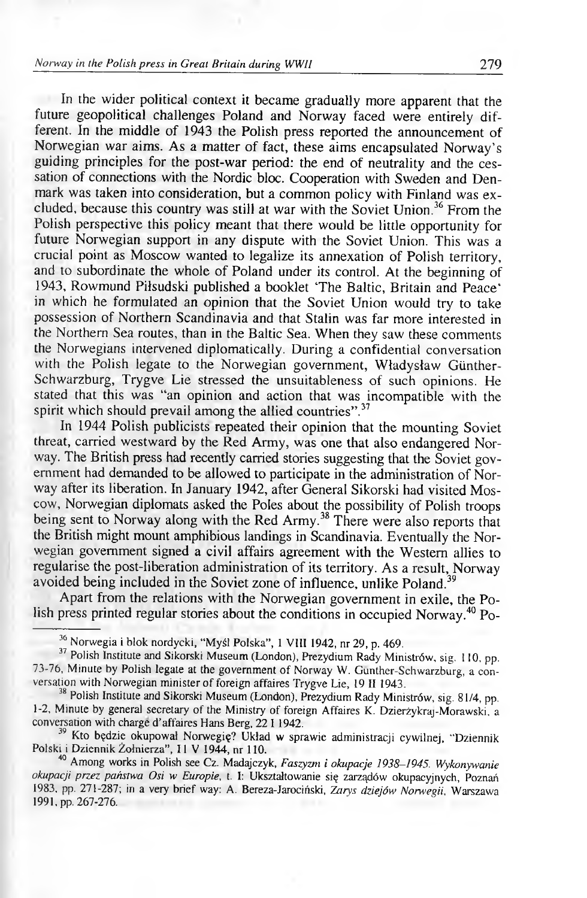### *Norway in the Polish press in Great Britain during WWII* **1988 279**

In the wider political context it became gradually more apparent that the future geopolitical challenges Poland and Norway faced were entirely different. In the middle of 1943 the Polish press reported the announcement of Norwegian war aims. As a matter of fact, these aims encapsulated Norway's guiding principles for the post-war period: the end of neutrality and the cessation of connections with the Nordic bloc. Cooperation with Sweden and Denmark was taken into consideration, but a common policy with Finland was excluded, because this country was still at war with the Soviet Union.<sup>36</sup> From the Polish perspective this policy meant that there would be little opportunity for future Norwegian support in any dispute with the Soviet Union. This was a crucial point as Moscow wanted to legalize its annexation of Polish territory, and to subordinate the whole of Poland under its control. At the beginning of 1943, Rowmund Piłsudski published a booklet 'The Baltic, Britain and Peace' in which he formulated an opinion that the Soviet Union would try to take possession of Northern Scandinavia and that Stalin was far more interested in the Northern Sea routes, than in the Baltic Sea. When they saw these comments the Norwegians intervened diplomatically. During a confidential conversation with the Polish legate to the Norwegian government, Władysław Giinther-Schwarzburg, Trygve Lie stressed the unsuitableness of such opinions. He stated that this was "an opinion and action that was incompatible with the spirit which should prevail among the allied countries".<sup>37</sup>

In 1944 Polish publicists repeated their opinion that the mounting Soviet threat, carried westward by the Red Army, was one that also endangered Norway. The British press had recently carried stories suggesting that the Soviet government had demanded to be allowed to participate in the administration of Norway after its liberation. In January 1942, after General Sikorski had visited Moscow, Norwegian diplomats asked the Poles about the possibility of Polish troops being sent to Norway along with the Red Army.<sup>38</sup> There were also reports that the British might mount amphibious landings in Scandinavia. Eventually the Norwegian government signed a civil affairs agreement with the Western allies to regularise the post-liberation administration of its territory. As a result, Norway avoided being included in the Soviet zone of influence, unlike Poland.<sup>39</sup>

Apart from the relations with the Norwegian government in exile, the Polish press printed regular stories about the conditions in occupied Norway.<sup>40</sup> Po-

<sup>36</sup> **Norwegia i blok nordycki, "Myśl Polska", 1 VIII 1942, nr 29, p. 469.**

<sup>37</sup> **Polish Institute and Sikorski Museum (London), Prezydium Rady Ministrów, sig. 110, pp. 73-76, Minute by Polish legate at the government of Norway W. Gunther-Schwarzburg, a conversation with Norwegian minister of foreign affaires Trygve Lie, 19 II 1943.**

<sup>38</sup> **Polish Institute and Sikorski Museum (London), Prezydium Rady Ministrów, sig. 81/4, pp. 1-2, Minute by general secretary of the Ministry of foreign Affaires K. Dzierżykraj-Morawski, a conversation with charge d'affaires Hans Berg, 22 1 1942.**

<sup>39</sup> **Kto będzie okupował Norwegię? Układ w sprawie administracji cywilnej, "Dziennik Polski i Dziennik Żołnierza", II V 1944, nr 110.**

<sup>40</sup> **Among works in Polish see Cz. Madajczyk,** *Faszyzm i okupacje 1938-1945. Wykonywanie okupacji przez państwa Osi w Europie,* **t. I: Ukształtowanie się zarządów okupacyjnych, Poznań 1983, pp. 271-287; in a very brief way: A. Bereza-Jarociński,** *Zarys dziejów Norwegii,* **Warszawa 1991, pp. 267-276.**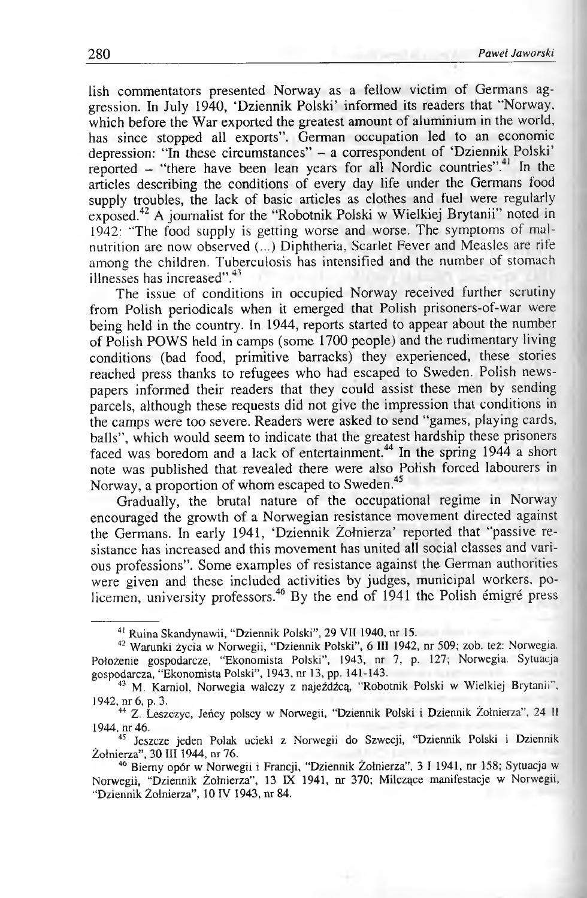lish commentators presented Norway as a fellow victim of Germans aggression. In July 1940, 'Dziennik Polski' informed its readers that "Norway, which before the War exported the greatest amount of aluminium in the world, has since stopped all exports". German occupation led to an economic depression: "In these circumstances" - a correspondent of 'Dziennik Polski' reported - "there have been lean years for all Nordic countries". In the articles describing the conditions of every day life under the Germans food supply troubles, the lack of basic articles as clothes and fuel were regularly exposed.42 A journalist for the "Robotnik Polski w Wielkiej Brytanii" noted in 1942: "The food supply is getting worse and worse. The symptoms of malnutrition are now observed (...) Diphtheria, Scarlet Fever and Measles are rife among the children. Tuberculosis has intensified and the number of stomach illnesses has increased".<sup>43</sup>

The issue of conditions in occupied Norway received further scrutiny from Polish periodicals when it emerged that Polish prisoners-of-war were being held in the country. In 1944, reports started to appear about the number of Polish POWS held in camps (some 1700 people) and the rudimentary living conditions (bad food, primitive barracks) they experienced, these stories reached press thanks to refugees who had escaped to Sweden. Polish newspapers informed their readers that they could assist these men by sending parcels, although these requests did not give the impression that conditions in the camps were too severe. Readers were asked to send "games, playing cards, balls", which would seem to indicate that the greatest hardship these prisoners faced was boredom and a lack of entertainment.<sup>44</sup> In the spring 1944 a short note was published that revealed there were also Polish forced labourers in Norway, a proportion of whom escaped to Sweden.<sup>45</sup>

Gradually, the brutal nature of the occupational regime in Norway encouraged the growth of a Norwegian resistance movement directed against the Germans. In early 1941, 'Dziennik Żołnierza' reported that "passive resistance has increased and this movement has united all social classes and various professions". Some examples of resistance against the German authorities were given and these included activities by judges, municipal workers, policemen, university professors.<sup>46</sup> By the end of 1941 the Polish émigré press

<sup>41</sup> **Ruina Skandynawii, "Dziennik Polski", 29 VII 1940, nr 15.**

<sup>42</sup> **Warunki życia w Norwegii, "Dziennik Polski",** 6 **III 1942, nr 509; zob. też: Norwegia. Położenie gospodarcze, "Ekonomista Polski", 1943, nr 7, p. 127; Norwegia. Sytuacja gospodarcza, "Ekonomista Polski", 1943, nr 13, pp. 141-143.**

<sup>43</sup> **M. Kamiol, Norwegia walczy z najeźdźcą, "Robotnik Polski w Wielkiej Brytanii", 1942, nr** 6 **, p. 3.**

<sup>44</sup> **Z. Leszczyc, Jeńcy polscy w Norwegii, "Dziennik Polski i Dziennik Żołnierza", 24 II 1944, nr 46.**

<sup>45</sup> **Jeszcze jeden Polak uciekł z Norwegii do Szwecji, "Dziennik Polski i Dziennik Żołnierza", 30 III 1944, nr 76.**

<sup>46</sup> **Biemy opór w Norwegii i Francji, "Dziennik Żołnierza", 3 I 1941, nr 158; Sytuacja w Norwegii, "Dziennik Żołnierza", 13 IX 1941, nr 370; Milczące manifestacje w Norwegii, "Dziennik Żołnierza", 10 IV 1943, nr 84.**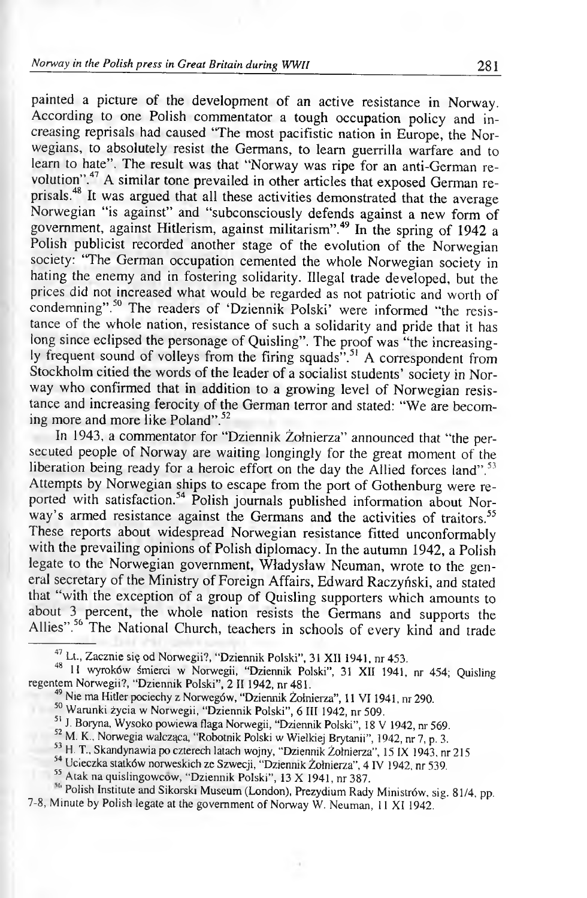painted a picture of the development of an active resistance in Norway. According to one Polish commentator a tough occupation policy and increasing reprisals had caused "The most pacifistic nation in Europe, the Norwegians, to absolutely resist the Germans, to learn guerrilla warfare and to learn to hate". The result was that "Norway was ripe for an anti-German revolution".47 A similar tone prevailed in other articles that exposed German reprisals.48 It was argued that all these activities demonstrated that the average Norwegian "is against" and "subconsciously defends against a new form of government, against Hitlerism, against militarism".49 In the spring of 1942 a Polish publicist recorded another stage of the evolution of the Norwegian society: "The German occupation cemented the whole Norwegian society in hating the enemy and in fostering solidarity. Illegal trade developed, but the prices did not increased what would be regarded as not patriotic and worth of condemning".<sup>50</sup> The readers of 'Dziennik Polski' were informed "the resistance of the whole nation, resistance of such a solidarity and pride that it has long since eclipsed the personage of Quisling". The proof was "the increasingly frequent sound of volleys from the firing squads".<sup>31</sup> A correspondent from Stockholm citied the words of the leader of a socialist students' society in Norway who confirmed that in addition to a growing level of Norwegian resistance and increasing ferocity of the German terror and stated: "We are becoming more and more like Poland".<sup>52</sup>

In 1943, a commentator for "Dziennik Żołnierza" announced that "the persecuted people of Norway are waiting longingly for the great moment of the liberation being ready for a heroic effort on the day the Allied forces land".<sup>53</sup> Attempts by Norwegian ships to escape from the port of Gothenburg were reported with satisfaction.<sup>54</sup> Polish journals published information about Norway's armed resistance against the Germans and the activities of traitors.<sup>55</sup> These reports about widespread Norwegian resistance fitted unconformably with the prevailing opinions of Polish diplomacy. In the autumn 1942, a Polish legate to the Norwegian government, Władysław Neuman, wrote to the general secretary of the Ministry of Foreign Affairs, Edward Raczyński, and stated that "with the exception of a group of Quisling supporters which amounts to about 3 percent, the whole nation resists the Germans and supports the Allies".<sup>56</sup> The National Church, teachers in schools of every kind and trade

- <sup>49</sup> Nie ma Hitler pociechy z Norwegów, "Dziennik Zołnierza", 11 VI 1941, nr 290.
- 50 **Warunki życia w Norwegii, "Dziennik Polski",** 6 **III 1942, nr 509.**
- **51 J. Boryna, Wysoko powiewa flaga Norwegii, "Dziennik Polski", 18 V 1942, nr 569.**
- 52 **M. K" Norwegia walcząca, "Robotnik Polski w Wielkiej Brytanii", 1942, nr 7,** p. **3.**
- 53 **H. T., Skandynawia po czterech latach wojny, "Dziennik Żołnierza", 15 IX 1943, nr 215**
- 54 **Ucieczka statków norweskich ze Szwecji, "Dziennik Żołnierza", 4 IV 1942, nr 539.**
- 55 **Atak na quislingowcow, "Dziennik Polski", 13 X 1941, nr 387.**

**Si' Polish Institute and Sikorski Museum (London), Prezydium Rady Ministrów, sig. 81/4, pp. 7-8, Minute by Polish legate at the government of Norway W. Neuman, 11 XI 1942.**

<sup>47</sup> **Lt., Zacznie się od Norwegii?, "Dziennik Polski", 31 XII 1941, nr 453.**

<sup>48</sup> **11 wyroków śmierci w Norwegii, "Dziennik Polski", 31 XII 1941, nr 454; Quisling regentem Norwegii?, "Dziennik Polski", 2 II 1942, nr 481.**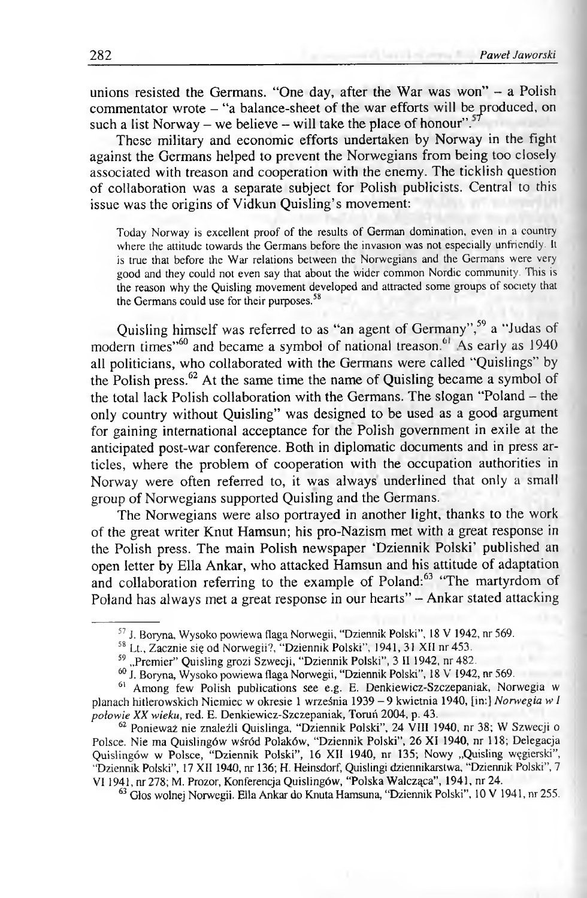unions resisted the Germans. "One day, after the War was won" - a Polish commentator wrote - "a balance-sheet of the war efforts will be produced, on such a list Norway – we believe – will take the place of honour".<sup>57</sup>

These military and economic efforts undertaken by Norway in the fight against the Germans helped to prevent the Norwegians from being too closely associated with treason and cooperation with the enemy. The ticklish question of collaboration was a separate subject for Polish publicists. Central to this issue was the origins of Vidkun Quisling's movement:

**Today Norway is excellent proof of the results of German domination, even in a country where the attitude towards the Germans before the invasion was not especially unfriendly. It is true that before the War relations between the Norwegians and the Germans were very good and they could not even say that about the wider common Nordic community. This is the reason why the Quisling movement developed and attracted some groups of society that the Germans could use for their purposes**.58

Quisling himself was referred to as "an agent of Germany"," a "Judas of modern times"<sup>60</sup> and became a symbol of national treason.<sup>6</sup> As early as 1940 all politicians, who collaborated with the Germans were called "Quislings" by the Polish press.<sup>62</sup> At the same time the name of Quisling became a symbol of the total lack Polish collaboration with the Germans. The slogan "Poland - the only country without Quisling" was designed to be used as a good argument for gaining international acceptance for the Polish government in exile at the anticipated post-war conference. Both in diplomatic documents and in press articles, where the problem of cooperation with the occupation authorities in Norway were often referred to, it was always underlined that only a small group of Norwegians supported Quisling and the Germans.

The Norwegians were also portrayed in another light, thanks to the work of the great writer Knut Hamsun; his pro-Nazism met with a great response in the Polish press. The main Polish newspaper 'Dziennik Polski' published an open letter by Ella Ankar, who attacked Hamsun and his attitude of adaptation and collaboration referring to the example of Poland:<sup>63</sup> "The martyrdom of Poland has always met a great response in our hearts" - Ankar stated attacking

<sup>57</sup> **J. Boryna, Wysoko powiewa flaga Norwegii, "Dziennik Polski", 18 V 1942, nr 569.**

<sup>58</sup> **Lt., Zacznie się od Norwegii?, "Dziennik Polski", 1941, 31 XII nr 453.**

<sup>55</sup> **"Premier" Quisling grozi Szwecji, "Dziennik Polski", 3 II 1942, nr 482.**

<sup>60</sup> **J. Boryna, Wysoko powiewa flaga Norwegii, "Dziennik Polski", 18 V' 1942, nr 569.**

<sup>61</sup> **Among few Polish publications see e.g. E. Denkiewicz-Szczepaniak, Norwegia w** planach hitlerowskich Niemiec w okresie 1 września 1939 - 9 kwietnia 1940, [in:] Norwegia w I *połow ie XX wieku,* **red. E. Denkiewicz-Szczepaniak, Toruń 2004, p. 43.**

<sup>62</sup> **Ponieważ nie znaleźli Quislinga, "Dziennik Polski", 24 VIII 1940, nr 38; W Szwecji o Polsce. Nie ma Quislingów wśród Polaków, "Dziennik Polski", 26 XI 1940, nr 118; Delegacja** Quislingów w Polsce, "Dziennik Polski", 16 XII 1940, nr 135; Nowy "Quisling węgierski", **"Dziennik Polski", 17 XII 1940, nr 136; H. Heinsdorf, Quislingi dziennikarstwa, "Dziennik Polski", 7 V I 1941, nr 278; M. Prozor, Konferencja Quislingów, "Polska Walcząca", 1941, nr 24.**

<sup>63</sup> **Głos wolnej Norwegii. Ella Ankar do Knuta Hamsuna, "Dziennik Polski", 10 V 1941, nr 255.**